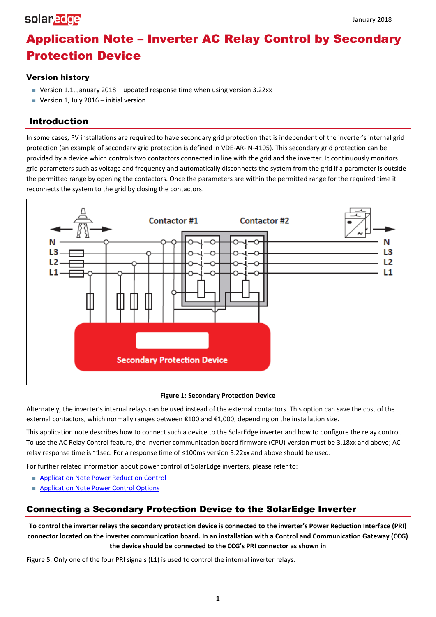# Application Note – Inverter AC Relay Control by Secondary Protection Device

### Version history

- Version 1.1, January 2018 updated response time when using version 3.22xx
- **Version 1, July 2016** initial version

### Introduction

In some cases, PV installations are required to have secondary grid protection that is independent of the inverter's internal grid protection (an example of secondary grid protection is defined in VDE-AR- N-4105). This secondary grid protection can be provided by a device which controls two contactors connected in line with the grid and the inverter. It continuously monitors grid parameters such as voltage and frequency and automatically disconnects the system from the grid if a parameter is outside the permitted range by opening the contactors. Once the parameters are within the permitted range for the required time it reconnects the system to the grid by closing the contactors.



#### **Figure 1: Secondary Protection Device**

Alternately, the inverter's internal relays can be used instead of the external contactors. This option can save the cost of the external contactors, which normally ranges between €100 and €1,000, depending on the installation size.

This application note describes how to connect such a device to the SolarEdge inverter and how to configure the relay control. To use the AC Relay Control feature, the inverter communication board firmware (CPU) version must be 3.18xx and above; AC relay response time is ~1sec. For a response time of ≤100ms version 3.22xx and above should be used.

For further related information about power control of SolarEdge inverters, please refer to:

- **[Application Note Power Reduction Control](http://www.solaredge.com/files/pdfs/power-reduction-control-application-note.pdf)**
- **[Application Note Power Control Options](http://www.solaredge.com/files/pdfs/application_note_power_control_configuration.pdf)**

### Connecting a Secondary Protection Device to the SolarEdge Inverter

**To control the inverter relays the secondary protection device is connected to the inverter's Power Reduction Interface (PRI) connector located on the inverter communication board. In an installation with a Control and Co[mmunication Gateway \(CCG\)](#page-4-0)  the device should be connected to the CCG's PRI connector as shown in** 

[Figure 5.](#page-4-0) Only one of the four PRI signals (L1) is used to control the internal inverter relays.

**1**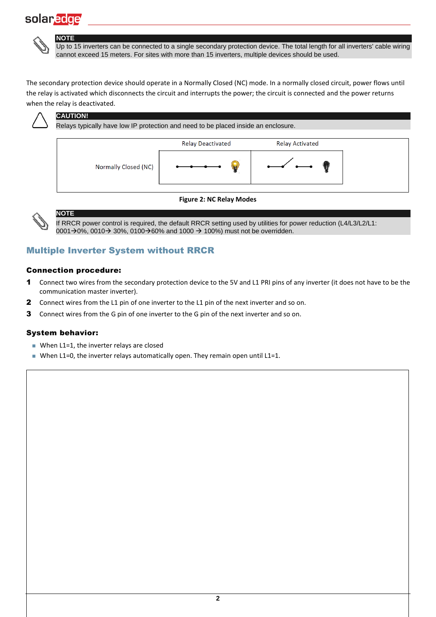**NOTE**



Up to 15 inverters can be connected to a single secondary protection device. The total length for all inverters' cable wiring cannot exceed 15 meters. For sites with more than 15 inverters, multiple devices should be used.

The secondary protection device should operate in a Normally Closed (NC) mode. In a normally closed circuit, power flows until the relay is activated which disconnects the circuit and interrupts the power; the circuit is connected and the power returns when the relay is deactivated.



### **CAUTION!**

Relays typically have low IP protection and need to be placed inside an enclosure.



#### **Figure 2: NC Relay Modes**

If RRCR power control is required, the default RRCR setting used by utilities for power reduction (L4/L3/L2/L1:  $0001\rightarrow0\%$ , 0010 $\rightarrow$  30%, 0100 $\rightarrow$ 60% and 1000  $\rightarrow$  100%) must not be overridden.

### Multiple Inverter System without RRCR

#### Connection procedure:

**NOTE**

- 1 Connect two wires from the secondary protection device to the 5V and L1 PRI pins of any inverter (it does not have to be the communication master inverter).
- 2 Connect wires from the L1 pin of one inverter to the L1 pin of the next inverter and so on.
- **3** Connect wires from the G pin of one inverter to the G pin of the next inverter and so on.

#### System behavior:

- When L1=1, the inverter relays are closed
- When L1=0, the inverter relays automatically open. They remain open until L1=1.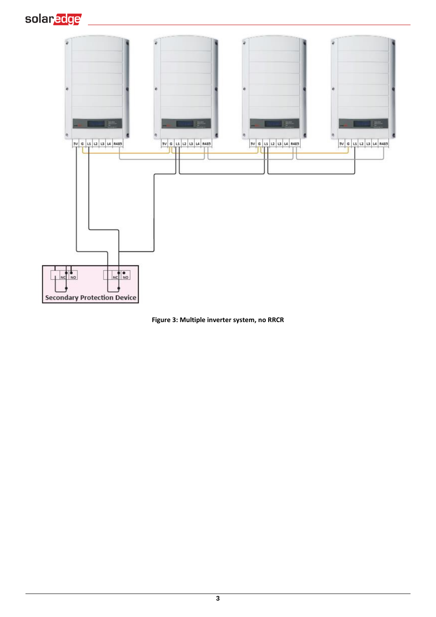



**Figure 3: Multiple inverter system, no RRCR**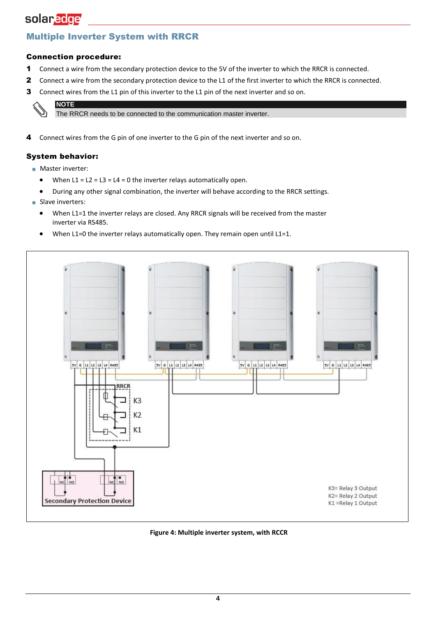# Multiple Inverter System with RRCR

### Connection procedure:

- 1 Connect a wire from the secondary protection device to the 5V of the inverter to which the RRCR is connected.
- 2 Connect a wire from the secondary protection device to the L1 of the first inverter to which the RRCR is connected.
- 3 Connect wires from the L1 pin of this inverter to the L1 pin of the next inverter and so on.

# **NOTE**

The RRCR needs to be connected to the communication master inverter.

4 Connect wires from the G pin of one inverter to the G pin of the next inverter and so on.

### System behavior:

- Master inverter:
	- When  $L1 = L2 = L3 = L4 = 0$  the inverter relays automatically open.
- During any other signal combination, the inverter will behave according to the RRCR settings.
- Slave inverters:
	- When L1=1 the inverter relays are closed. Any RRCR signals will be received from the master inverter via RS485.
	- When L1=0 the inverter relays automatically open. They remain open until L1=1.



**Figure 4: Multiple inverter system, with RCCR**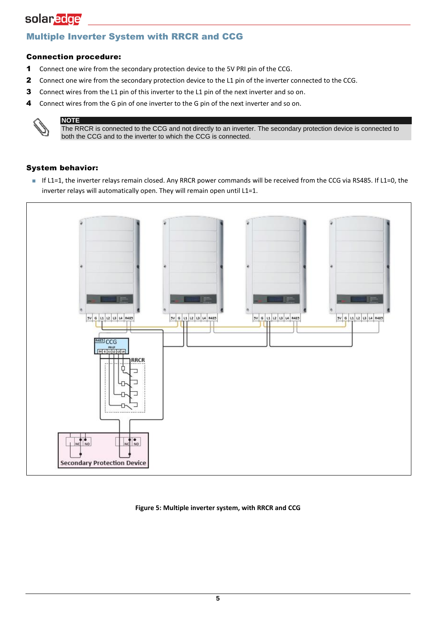### Multiple Inverter System with RRCR and CCG

### Connection procedure:

- 1 Connect one wire from the secondary protection device to the 5V PRI pin of the CCG.
- 2 Connect one wire from the secondary protection device to the L1 pin of the inverter connected to the CCG.
- 3 Connect wires from the L1 pin of this inverter to the L1 pin of the next inverter and so on.
- 4 Connect wires from the G pin of one inverter to the G pin of the next inverter and so on.



**NOTE** The RRCR is connected to the CCG and not directly to an inverter. The secondary protection device is connected to both the CCG and to the inverter to which the CCG is connected.

### System behavior:

■ If L1=1, the inverter relays remain closed. Any RRCR power commands will be received from the CCG via RS485. If L1=0, the inverter relays will automatically open. They will remain open until L1=1.



#### <span id="page-4-0"></span>**Figure 5: Multiple inverter system, with RRCR and CCG**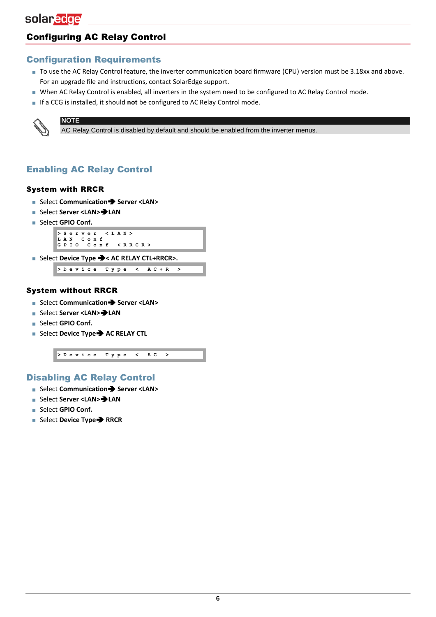# Configuring AC Relay Control

### Configuration Requirements

- To use the AC Relay Control feature, the inverter communication board firmware (CPU) version must be 3.18xx and above. For an upgrade file and instructions, contact SolarEdge support.
- When AC Relay Control is enabled, all inverters in the system need to be configured to AC Relay Control mode.
- If a CCG is installed, it should **not** be configured to AC Relay Control mode.



AC Relay Control is disabled by default and should be enabled from the inverter menus.

# Enabling AC Relay Control

#### System with RRCR

**NOTE**

- Select **Communication → Server <LAN>**
- Select **Server <LAN><sup>→</sup>LAN**
- Select **GPIO Conf.**



**> D e v i c e T y p e < A C + R >**

#### System without RRCR

- Select **Communication Server <LAN>**
- Select **Server <LAN><sup>→</sup>LAN**
- Select **GPIO Conf.**
- Select **Device Type → AC RELAY CTL**

**> D e v i c e T y p e < AC >**

### Disabling AC Relay Control

- Select **Communication Server <LAN>**
- Select **Server <LAN>LAN**
- Select **GPIO Conf.**
- Select Device Type<sup>→</sup> RRCR